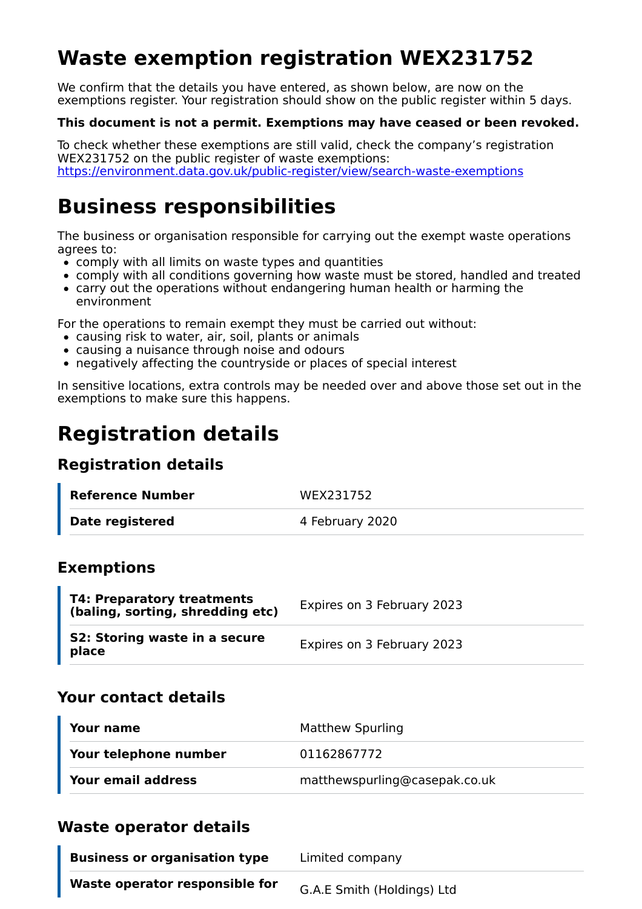# **Waste exemption registration WEX231752**

We confirm that the details you have entered, as shown below, are now on the exemptions register. Your registration should show on the public register within 5 days.

#### **This document is not a permit. Exemptions may have ceased or been revoked.**

To check whether these exemptions are still valid, check the company's registration WEX231752 on the public register of waste exemptions: https://environment.data.gov.uk/public-register/view/search-waste-exemptions

## **Business responsibilities**

The business or organisation responsible for carrying out the exempt waste operations agrees to:

- $\bullet$  comply with all limits on waste types and quantities
- comply with all conditions governing how waste must be stored, handled and treated
- carry out the operations without endangering human health or harming the environment

For the operations to remain exempt they must be carried out without:

- causing risk to water, air, soil, plants or animals
- causing a nuisance through noise and odours
- negatively affecting the countryside or places of special interest

In sensitive locations, extra controls may be needed over and above those set out in the exemptions to make sure this happens.

## **Registration details**

### **Registration details**

| Reference Number | WEX231752       |
|------------------|-----------------|
| Date registered  | 4 February 2020 |

### **Exemptions**

| <b>T4: Preparatory treatments</b><br>(baling, sorting, shredding etc) | Expires on 3 February 2023 |
|-----------------------------------------------------------------------|----------------------------|
| S2: Storing waste in a secure<br>place                                | Expires on 3 February 2023 |

### **Your contact details**

| Your name             | <b>Matthew Spurling</b>       |
|-----------------------|-------------------------------|
| Your telephone number | 01162867772                   |
| Your email address    | matthewspurling@casepak.co.uk |

### **Waste operator details**

| <b>Business or organisation type</b> | Limited company            |
|--------------------------------------|----------------------------|
| Waste operator responsible for       | G.A.E Smith (Holdings) Ltd |